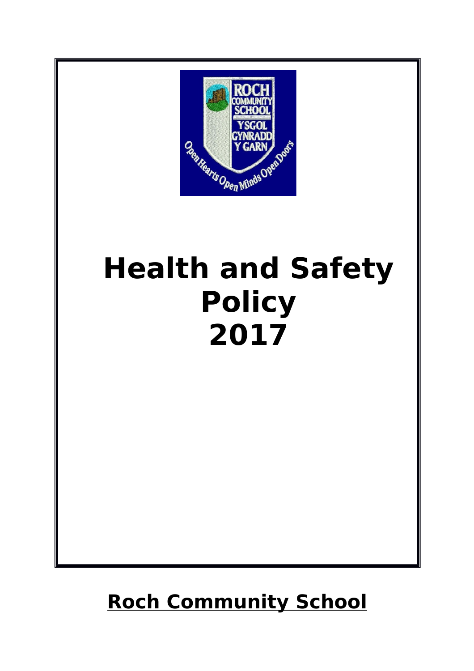

# **Health and Safety Policy 2017**

# **Roch Community School**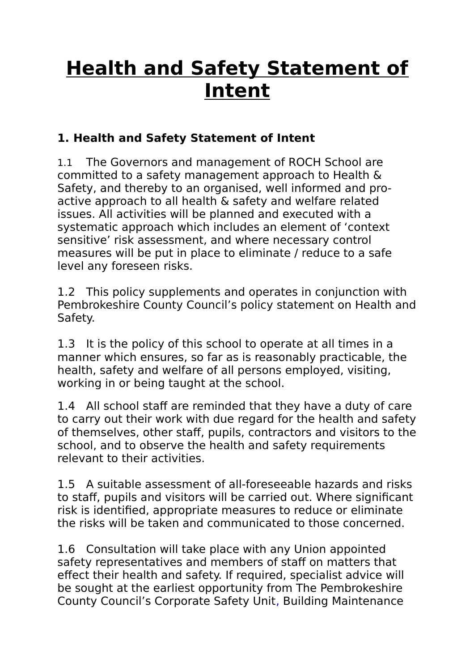# **Health and Safety Statement of Intent**

#### **1. Health and Safety Statement of Intent**

1.1 The Governors and management of ROCH School are committed to a safety management approach to Health & Safety, and thereby to an organised, well informed and proactive approach to all health & safety and welfare related issues. All activities will be planned and executed with a systematic approach which includes an element of 'context sensitive' risk assessment, and where necessary control measures will be put in place to eliminate / reduce to a safe level any foreseen risks.

1.2 This policy supplements and operates in conjunction with Pembrokeshire County Council's policy statement on Health and Safety.

1.3 It is the policy of this school to operate at all times in a manner which ensures, so far as is reasonably practicable, the health, safety and welfare of all persons employed, visiting, working in or being taught at the school.

1.4 All school staff are reminded that they have a duty of care to carry out their work with due regard for the health and safety of themselves, other staff, pupils, contractors and visitors to the school, and to observe the health and safety requirements relevant to their activities.

1.5 A suitable assessment of all-foreseeable hazards and risks to staff, pupils and visitors will be carried out. Where significant risk is identified, appropriate measures to reduce or eliminate the risks will be taken and communicated to those concerned.

1.6 Consultation will take place with any Union appointed safety representatives and members of staff on matters that effect their health and safety. If required, specialist advice will be sought at the earliest opportunity from The Pembrokeshire County Council's Corporate Safety Unit, Building Maintenance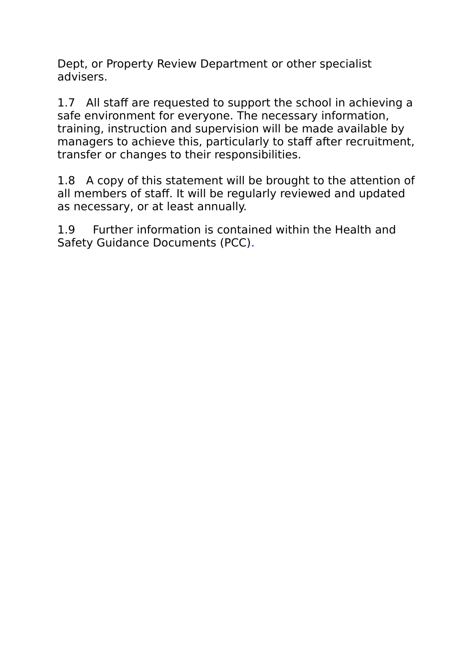Dept, or Property Review Department or other specialist advisers.

1.7 All staff are requested to support the school in achieving a safe environment for everyone. The necessary information, training, instruction and supervision will be made available by managers to achieve this, particularly to staff after recruitment, transfer or changes to their responsibilities.

1.8 A copy of this statement will be brought to the attention of all members of staff. It will be regularly reviewed and updated as necessary, or at least annually.

1.9 Further information is contained within the Health and Safety Guidance Documents (PCC).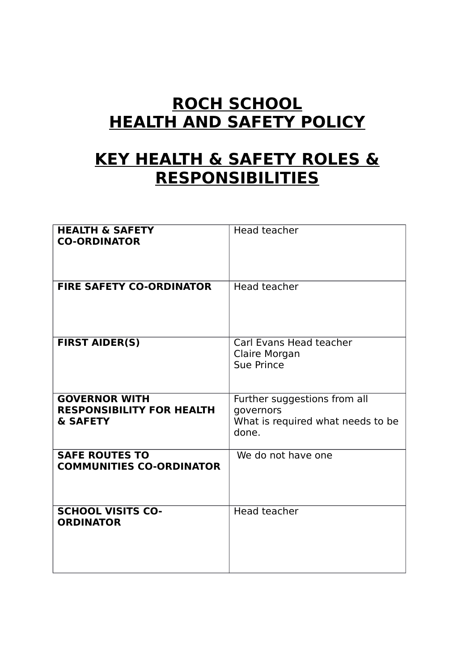#### **ROCH SCHOOL HEALTH AND SAFETY POLICY**

#### **KEY HEALTH & SAFETY ROLES & RESPONSIBILITIES**

| <b>HEALTH &amp; SAFETY</b><br><b>CO-ORDINATOR</b>                    | Head teacher                                                                            |
|----------------------------------------------------------------------|-----------------------------------------------------------------------------------------|
| <b>FIRE SAFETY CO-ORDINATOR</b>                                      | Head teacher                                                                            |
| <b>FIRST AIDER(S)</b>                                                | Carl Evans Head teacher<br>Claire Morgan<br><b>Sue Prince</b>                           |
| <b>GOVERNOR WITH</b><br><b>RESPONSIBILITY FOR HEALTH</b><br>& SAFETY | Further suggestions from all<br>governors<br>What is required what needs to be<br>done. |
| <b>SAFE ROUTES TO</b><br><b>COMMUNITIES CO-ORDINATOR</b>             | We do not have one                                                                      |
| <b>SCHOOL VISITS CO-</b><br><b>ORDINATOR</b>                         | Head teacher                                                                            |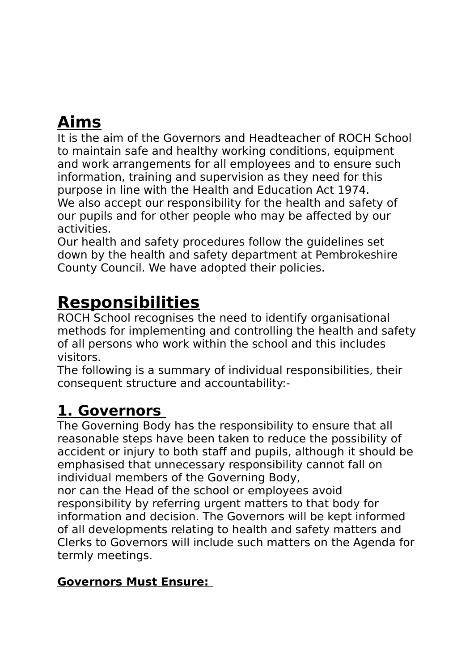### **Aims**

It is the aim of the Governors and Headteacher of ROCH School to maintain safe and healthy working conditions, equipment and work arrangements for all employees and to ensure such information, training and supervision as they need for this purpose in line with the Health and Education Act 1974. We also accept our responsibility for the health and safety of our pupils and for other people who may be affected by our activities.

Our health and safety procedures follow the guidelines set down by the health and safety department at Pembrokeshire County Council. We have adopted their policies.

### **Responsibilities**

ROCH School recognises the need to identify organisational methods for implementing and controlling the health and safety of all persons who work within the school and this includes visitors.

The following is a summary of individual responsibilities, their consequent structure and accountability:-

#### **1. Governors**

The Governing Body has the responsibility to ensure that all reasonable steps have been taken to reduce the possibility of accident or injury to both staff and pupils, although it should be emphasised that unnecessary responsibility cannot fall on individual members of the Governing Body,

nor can the Head of the school or employees avoid responsibility by referring urgent matters to that body for information and decision. The Governors will be kept informed of all developments relating to health and safety matters and Clerks to Governors will include such matters on the Agenda for termly meetings.

#### **Governors Must Ensure:**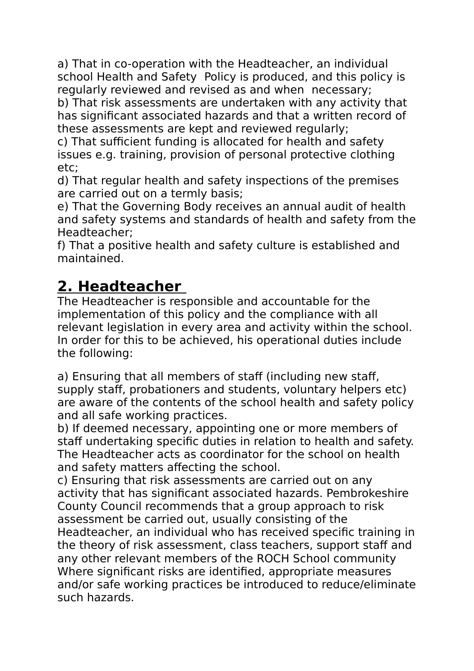a) That in co-operation with the Headteacher, an individual school Health and Safety Policy is produced, and this policy is regularly reviewed and revised as and when necessary;

b) That risk assessments are undertaken with any activity that has significant associated hazards and that a written record of these assessments are kept and reviewed regularly;

c) That sufficient funding is allocated for health and safety issues e.g. training, provision of personal protective clothing etc;

d) That regular health and safety inspections of the premises are carried out on a termly basis;

e) That the Governing Body receives an annual audit of health and safety systems and standards of health and safety from the Headteacher;

f) That a positive health and safety culture is established and maintained.

#### **2. Headteacher**

The Headteacher is responsible and accountable for the implementation of this policy and the compliance with all relevant legislation in every area and activity within the school. In order for this to be achieved, his operational duties include the following:

a) Ensuring that all members of staff (including new staff, supply staff, probationers and students, voluntary helpers etc) are aware of the contents of the school health and safety policy and all safe working practices.

b) If deemed necessary, appointing one or more members of staff undertaking specific duties in relation to health and safety. The Headteacher acts as coordinator for the school on health and safety matters affecting the school.

c) Ensuring that risk assessments are carried out on any activity that has significant associated hazards. Pembrokeshire County Council recommends that a group approach to risk assessment be carried out, usually consisting of the Headteacher, an individual who has received specific training in the theory of risk assessment, class teachers, support staff and any other relevant members of the ROCH School community Where significant risks are identified, appropriate measures and/or safe working practices be introduced to reduce/eliminate such hazards.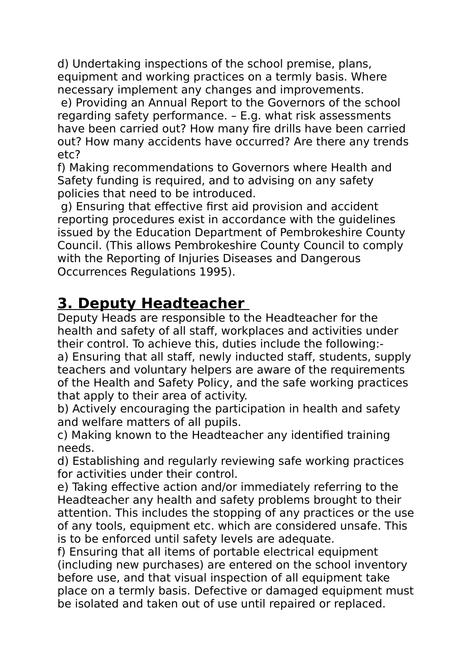d) Undertaking inspections of the school premise, plans, equipment and working practices on a termly basis. Where necessary implement any changes and improvements.

 e) Providing an Annual Report to the Governors of the school regarding safety performance. – E.g. what risk assessments have been carried out? How many fire drills have been carried out? How many accidents have occurred? Are there any trends etc?

f) Making recommendations to Governors where Health and Safety funding is required, and to advising on any safety policies that need to be introduced.

 g) Ensuring that effective first aid provision and accident reporting procedures exist in accordance with the guidelines issued by the Education Department of Pembrokeshire County Council. (This allows Pembrokeshire County Council to comply with the Reporting of Injuries Diseases and Dangerous Occurrences Regulations 1995).

#### **3. Deputy Headteacher**

Deputy Heads are responsible to the Headteacher for the health and safety of all staff, workplaces and activities under their control. To achieve this, duties include the following: a) Ensuring that all staff, newly inducted staff, students, supply teachers and voluntary helpers are aware of the requirements of the Health and Safety Policy, and the safe working practices that apply to their area of activity.

b) Actively encouraging the participation in health and safety and welfare matters of all pupils.

c) Making known to the Headteacher any identified training needs.

d) Establishing and regularly reviewing safe working practices for activities under their control.

e) Taking effective action and/or immediately referring to the Headteacher any health and safety problems brought to their attention. This includes the stopping of any practices or the use of any tools, equipment etc. which are considered unsafe. This is to be enforced until safety levels are adequate.

f) Ensuring that all items of portable electrical equipment (including new purchases) are entered on the school inventory before use, and that visual inspection of all equipment take place on a termly basis. Defective or damaged equipment must be isolated and taken out of use until repaired or replaced.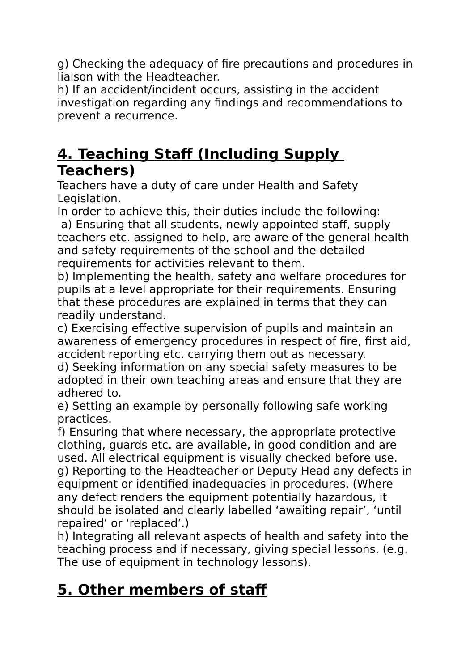g) Checking the adequacy of fire precautions and procedures in liaison with the Headteacher.

h) If an accident/incident occurs, assisting in the accident investigation regarding any findings and recommendations to prevent a recurrence.

#### **4. Teaching Staff (Including Supply Teachers)**

Teachers have a duty of care under Health and Safety Legislation.

In order to achieve this, their duties include the following: a) Ensuring that all students, newly appointed staff, supply teachers etc. assigned to help, are aware of the general health and safety requirements of the school and the detailed requirements for activities relevant to them.

b) Implementing the health, safety and welfare procedures for pupils at a level appropriate for their requirements. Ensuring that these procedures are explained in terms that they can readily understand.

c) Exercising effective supervision of pupils and maintain an awareness of emergency procedures in respect of fire, first aid, accident reporting etc. carrying them out as necessary.

d) Seeking information on any special safety measures to be adopted in their own teaching areas and ensure that they are adhered to.

e) Setting an example by personally following safe working practices.

f) Ensuring that where necessary, the appropriate protective clothing, guards etc. are available, in good condition and are used. All electrical equipment is visually checked before use. g) Reporting to the Headteacher or Deputy Head any defects in equipment or identified inadequacies in procedures. (Where any defect renders the equipment potentially hazardous, it should be isolated and clearly labelled 'awaiting repair', 'until repaired' or 'replaced'.)

h) Integrating all relevant aspects of health and safety into the teaching process and if necessary, giving special lessons. (e.g. The use of equipment in technology lessons).

### **5. Other members of staff**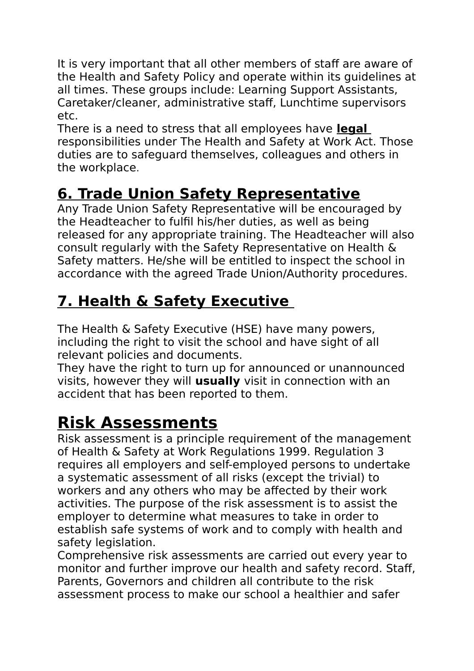It is very important that all other members of staff are aware of the Health and Safety Policy and operate within its guidelines at all times. These groups include: Learning Support Assistants, Caretaker/cleaner, administrative staff, Lunchtime supervisors etc.

There is a need to stress that all employees have **legal**  responsibilities under The Health and Safety at Work Act. Those duties are to safeguard themselves, colleagues and others in the workplace.

### **6. Trade Union Safety Representative**

Any Trade Union Safety Representative will be encouraged by the Headteacher to fulfil his/her duties, as well as being released for any appropriate training. The Headteacher will also consult regularly with the Safety Representative on Health & Safety matters. He/she will be entitled to inspect the school in accordance with the agreed Trade Union/Authority procedures.

### **7. Health & Safety Executive**

The Health & Safety Executive (HSE) have many powers, including the right to visit the school and have sight of all relevant policies and documents.

They have the right to turn up for announced or unannounced visits, however they will **usually** visit in connection with an accident that has been reported to them.

### **Risk Assessments**

Risk assessment is a principle requirement of the management of Health & Safety at Work Regulations 1999. Regulation 3 requires all employers and self-employed persons to undertake a systematic assessment of all risks (except the trivial) to workers and any others who may be affected by their work activities. The purpose of the risk assessment is to assist the employer to determine what measures to take in order to establish safe systems of work and to comply with health and safety legislation.

Comprehensive risk assessments are carried out every year to monitor and further improve our health and safety record. Staff, Parents, Governors and children all contribute to the risk assessment process to make our school a healthier and safer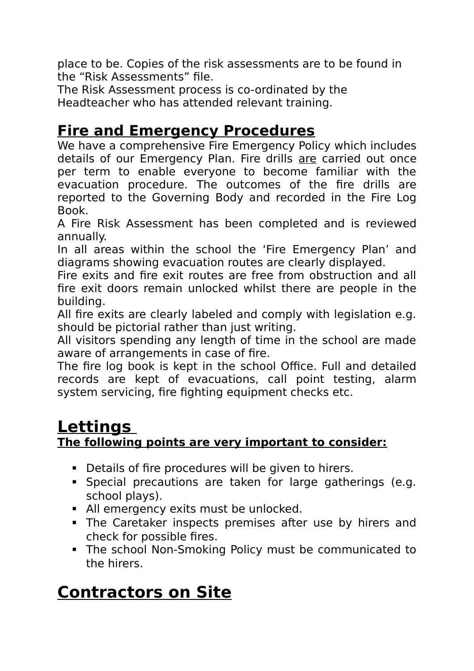place to be. Copies of the risk assessments are to be found in the "Risk Assessments" file.

The Risk Assessment process is co-ordinated by the Headteacher who has attended relevant training.

#### **Fire and Emergency Procedures**

We have a comprehensive Fire Emergency Policy which includes details of our Emergency Plan. Fire drills are carried out once per term to enable everyone to become familiar with the evacuation procedure. The outcomes of the fire drills are reported to the Governing Body and recorded in the Fire Log Book.

A Fire Risk Assessment has been completed and is reviewed annually.

In all areas within the school the 'Fire Emergency Plan' and diagrams showing evacuation routes are clearly displayed.

Fire exits and fire exit routes are free from obstruction and all fire exit doors remain unlocked whilst there are people in the building.

All fire exits are clearly labeled and comply with legislation e.g. should be pictorial rather than just writing.

All visitors spending any length of time in the school are made aware of arrangements in case of fire.

The fire log book is kept in the school Office. Full and detailed records are kept of evacuations, call point testing, alarm system servicing, fire fighting equipment checks etc.

#### **Lettings The following points are very important to consider:**

- Details of fire procedures will be given to hirers.
- Special precautions are taken for large gatherings (e.g. school plays).
- All emergency exits must be unlocked.
- The Caretaker inspects premises after use by hirers and check for possible fires.
- The school Non-Smoking Policy must be communicated to the hirers.

### **Contractors on Site**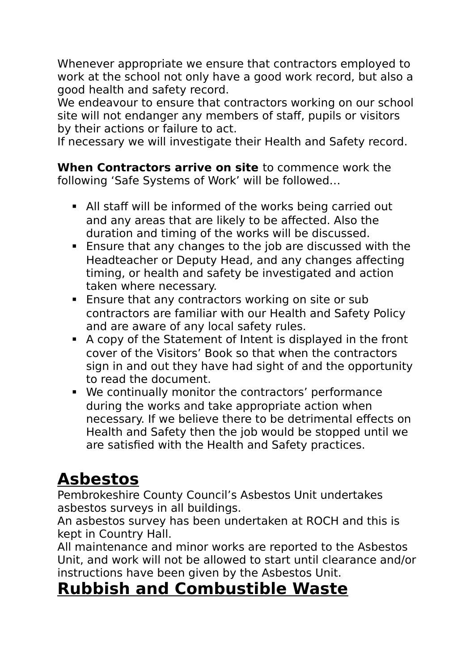Whenever appropriate we ensure that contractors employed to work at the school not only have a good work record, but also a good health and safety record.

We endeavour to ensure that contractors working on our school site will not endanger any members of staff, pupils or visitors by their actions or failure to act.

If necessary we will investigate their Health and Safety record.

**When Contractors arrive on site** to commence work the following 'Safe Systems of Work' will be followed…

- All staff will be informed of the works being carried out and any areas that are likely to be affected. Also the duration and timing of the works will be discussed.
- Ensure that any changes to the job are discussed with the Headteacher or Deputy Head, and any changes affecting timing, or health and safety be investigated and action taken where necessary.
- **Ensure that any contractors working on site or sub** contractors are familiar with our Health and Safety Policy and are aware of any local safety rules.
- A copy of the Statement of Intent is displayed in the front cover of the Visitors' Book so that when the contractors sign in and out they have had sight of and the opportunity to read the document.
- We continually monitor the contractors' performance during the works and take appropriate action when necessary. If we believe there to be detrimental effects on Health and Safety then the job would be stopped until we are satisfied with the Health and Safety practices.

### **Asbestos**

Pembrokeshire County Council's Asbestos Unit undertakes asbestos surveys in all buildings.

An asbestos survey has been undertaken at ROCH and this is kept in Country Hall.

All maintenance and minor works are reported to the Asbestos Unit, and work will not be allowed to start until clearance and/or instructions have been given by the Asbestos Unit.

#### **Rubbish and Combustible Waste**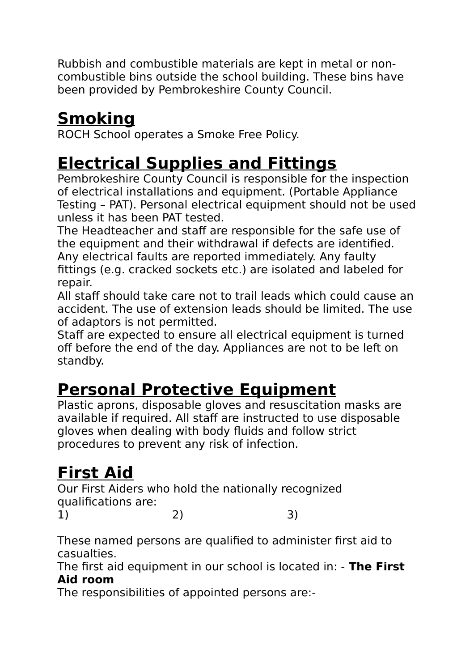Rubbish and combustible materials are kept in metal or noncombustible bins outside the school building. These bins have been provided by Pembrokeshire County Council.

## **Smoking**

ROCH School operates a Smoke Free Policy.

### **Electrical Supplies and Fittings**

Pembrokeshire County Council is responsible for the inspection of electrical installations and equipment. (Portable Appliance Testing – PAT). Personal electrical equipment should not be used unless it has been PAT tested.

The Headteacher and staff are responsible for the safe use of the equipment and their withdrawal if defects are identified. Any electrical faults are reported immediately. Any faulty fittings (e.g. cracked sockets etc.) are isolated and labeled for repair.

All staff should take care not to trail leads which could cause an accident. The use of extension leads should be limited. The use of adaptors is not permitted.

Staff are expected to ensure all electrical equipment is turned off before the end of the day. Appliances are not to be left on standby.

### **Personal Protective Equipment**

Plastic aprons, disposable gloves and resuscitation masks are available if required. All staff are instructed to use disposable gloves when dealing with body fluids and follow strict procedures to prevent any risk of infection.

# **First Aid**

Our First Aiders who hold the nationally recognized qualifications are: 1) 2) 3)

These named persons are qualified to administer first aid to casualties.

The first aid equipment in our school is located in: - **The First Aid room**

The responsibilities of appointed persons are:-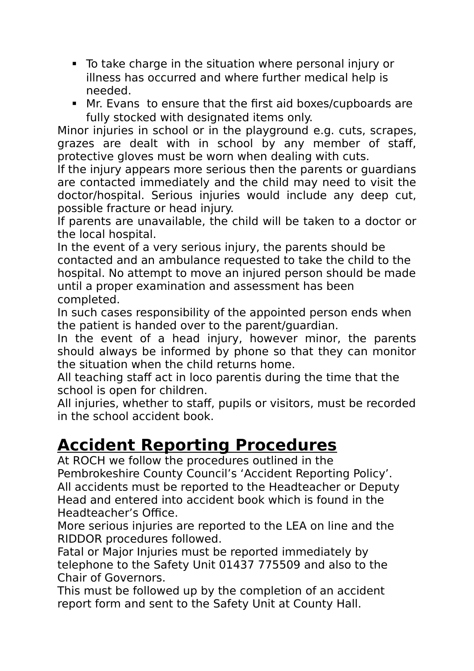- To take charge in the situation where personal injury or illness has occurred and where further medical help is needed.
- Mr. Evans to ensure that the first aid boxes/cupboards are fully stocked with designated items only.

Minor injuries in school or in the playground e.g. cuts, scrapes, grazes are dealt with in school by any member of staff, protective gloves must be worn when dealing with cuts.

If the injury appears more serious then the parents or guardians are contacted immediately and the child may need to visit the doctor/hospital. Serious injuries would include any deep cut, possible fracture or head injury.

If parents are unavailable, the child will be taken to a doctor or the local hospital.

In the event of a very serious injury, the parents should be contacted and an ambulance requested to take the child to the hospital. No attempt to move an injured person should be made until a proper examination and assessment has been completed.

In such cases responsibility of the appointed person ends when the patient is handed over to the parent/guardian.

In the event of a head injury, however minor, the parents should always be informed by phone so that they can monitor the situation when the child returns home.

All teaching staff act in loco parentis during the time that the school is open for children.

All injuries, whether to staff, pupils or visitors, must be recorded in the school accident book.

### **Accident Reporting Procedures**

At ROCH we follow the procedures outlined in the Pembrokeshire County Council's 'Accident Reporting Policy'. All accidents must be reported to the Headteacher or Deputy Head and entered into accident book which is found in the Headteacher's Office.

More serious injuries are reported to the LEA on line and the RIDDOR procedures followed.

Fatal or Major Injuries must be reported immediately by telephone to the Safety Unit 01437 775509 and also to the Chair of Governors.

This must be followed up by the completion of an accident report form and sent to the Safety Unit at County Hall.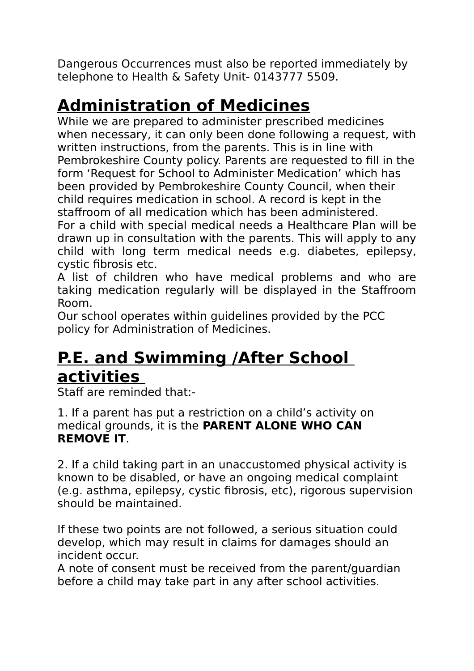Dangerous Occurrences must also be reported immediately by telephone to Health & Safety Unit- 0143777 5509.

### **Administration of Medicines**

While we are prepared to administer prescribed medicines when necessary, it can only been done following a request, with written instructions, from the parents. This is in line with Pembrokeshire County policy. Parents are requested to fill in the form 'Request for School to Administer Medication' which has been provided by Pembrokeshire County Council, when their child requires medication in school. A record is kept in the staffroom of all medication which has been administered. For a child with special medical needs a Healthcare Plan will be drawn up in consultation with the parents. This will apply to any

child with long term medical needs e.g. diabetes, epilepsy, cystic fibrosis etc.

A list of children who have medical problems and who are taking medication regularly will be displayed in the Staffroom Room.

Our school operates within guidelines provided by the PCC policy for Administration of Medicines.

### **P.E. and Swimming /After School activities**

Staff are reminded that:-

1. If a parent has put a restriction on a child's activity on medical grounds, it is the **PARENT ALONE WHO CAN REMOVE IT**.

2. If a child taking part in an unaccustomed physical activity is known to be disabled, or have an ongoing medical complaint (e.g. asthma, epilepsy, cystic fibrosis, etc), rigorous supervision should be maintained.

If these two points are not followed, a serious situation could develop, which may result in claims for damages should an incident occur.

A note of consent must be received from the parent/guardian before a child may take part in any after school activities.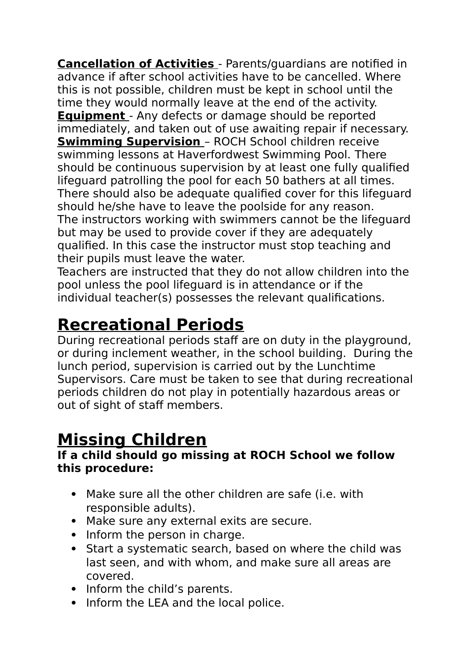**Cancellation of Activities** - Parents/guardians are notified in advance if after school activities have to be cancelled. Where this is not possible, children must be kept in school until the time they would normally leave at the end of the activity. **Equipment** - Any defects or damage should be reported immediately, and taken out of use awaiting repair if necessary. **Swimming Supervision** – ROCH School children receive swimming lessons at Haverfordwest Swimming Pool. There should be continuous supervision by at least one fully qualified lifeguard patrolling the pool for each 50 bathers at all times. There should also be adequate qualified cover for this lifeguard should he/she have to leave the poolside for any reason. The instructors working with swimmers cannot be the lifeguard but may be used to provide cover if they are adequately qualified. In this case the instructor must stop teaching and their pupils must leave the water.

Teachers are instructed that they do not allow children into the pool unless the pool lifeguard is in attendance or if the individual teacher(s) possesses the relevant qualifications.

### **Recreational Periods**

During recreational periods staff are on duty in the playground, or during inclement weather, in the school building. During the lunch period, supervision is carried out by the Lunchtime Supervisors. Care must be taken to see that during recreational periods children do not play in potentially hazardous areas or out of sight of staff members.

### **Missing Children**

#### **If a child should go missing at ROCH School we follow this procedure:**

- Make sure all the other children are safe (i.e. with responsible adults).
- Make sure any external exits are secure.
- Inform the person in charge.
- Start a systematic search, based on where the child was last seen, and with whom, and make sure all areas are covered.
- Inform the child's parents.
- Inform the LEA and the local police.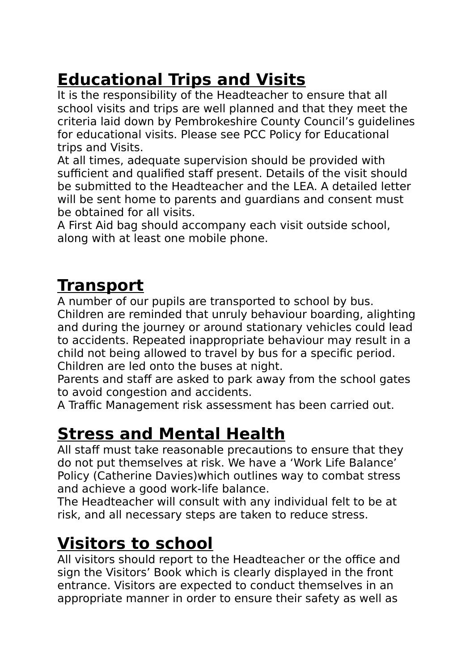### **Educational Trips and Visits**

It is the responsibility of the Headteacher to ensure that all school visits and trips are well planned and that they meet the criteria laid down by Pembrokeshire County Council's guidelines for educational visits. Please see PCC Policy for Educational trips and Visits.

At all times, adequate supervision should be provided with sufficient and qualified staff present. Details of the visit should be submitted to the Headteacher and the LEA. A detailed letter will be sent home to parents and guardians and consent must be obtained for all visits.

A First Aid bag should accompany each visit outside school, along with at least one mobile phone.

### **Transport**

A number of our pupils are transported to school by bus. Children are reminded that unruly behaviour boarding, alighting and during the journey or around stationary vehicles could lead to accidents. Repeated inappropriate behaviour may result in a child not being allowed to travel by bus for a specific period. Children are led onto the buses at night.

Parents and staff are asked to park away from the school gates to avoid congestion and accidents.

A Traffic Management risk assessment has been carried out.

### **Stress and Mental Health**

All staff must take reasonable precautions to ensure that they do not put themselves at risk. We have a 'Work Life Balance' Policy (Catherine Davies)which outlines way to combat stress and achieve a good work-life balance.

The Headteacher will consult with any individual felt to be at risk, and all necessary steps are taken to reduce stress.

### **Visitors to school**

All visitors should report to the Headteacher or the office and sign the Visitors' Book which is clearly displayed in the front entrance. Visitors are expected to conduct themselves in an appropriate manner in order to ensure their safety as well as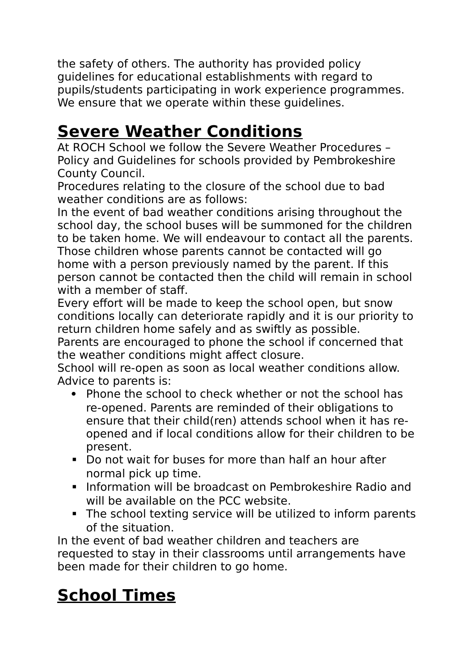the safety of others. The authority has provided policy guidelines for educational establishments with regard to pupils/students participating in work experience programmes. We ensure that we operate within these guidelines.

#### **Severe Weather Conditions**

At ROCH School we follow the Severe Weather Procedures – Policy and Guidelines for schools provided by Pembrokeshire County Council.

Procedures relating to the closure of the school due to bad weather conditions are as follows:

In the event of bad weather conditions arising throughout the school day, the school buses will be summoned for the children to be taken home. We will endeavour to contact all the parents. Those children whose parents cannot be contacted will go home with a person previously named by the parent. If this person cannot be contacted then the child will remain in school with a member of staff.

Every effort will be made to keep the school open, but snow conditions locally can deteriorate rapidly and it is our priority to return children home safely and as swiftly as possible.

Parents are encouraged to phone the school if concerned that the weather conditions might affect closure.

School will re-open as soon as local weather conditions allow. Advice to parents is:

- Phone the school to check whether or not the school has re-opened. Parents are reminded of their obligations to ensure that their child(ren) attends school when it has reopened and if local conditions allow for their children to be present.
- Do not wait for buses for more than half an hour after normal pick up time.
- Information will be broadcast on Pembrokeshire Radio and will be available on the PCC website.
- The school texting service will be utilized to inform parents of the situation.

In the event of bad weather children and teachers are requested to stay in their classrooms until arrangements have been made for their children to go home.

### **School Times**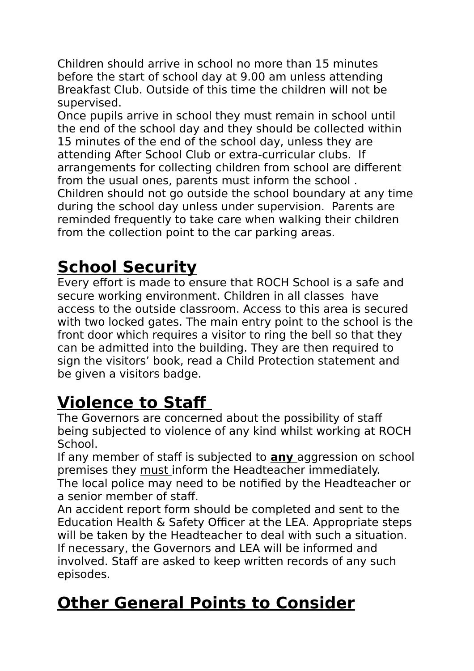Children should arrive in school no more than 15 minutes before the start of school day at 9.00 am unless attending Breakfast Club. Outside of this time the children will not be supervised.

Once pupils arrive in school they must remain in school until the end of the school day and they should be collected within 15 minutes of the end of the school day, unless they are attending After School Club or extra-curricular clubs. If arrangements for collecting children from school are different from the usual ones, parents must inform the school . Children should not go outside the school boundary at any time during the school day unless under supervision. Parents are reminded frequently to take care when walking their children from the collection point to the car parking areas.

### **School Security**

Every effort is made to ensure that ROCH School is a safe and secure working environment. Children in all classes have access to the outside classroom. Access to this area is secured with two locked gates. The main entry point to the school is the front door which requires a visitor to ring the bell so that they can be admitted into the building. They are then required to sign the visitors' book, read a Child Protection statement and be given a visitors badge.

### **Violence to Staff**

The Governors are concerned about the possibility of staff being subjected to violence of any kind whilst working at ROCH School.

If any member of staff is subjected to **any** aggression on school premises they must inform the Headteacher immediately. The local police may need to be notified by the Headteacher or a senior member of staff.

An accident report form should be completed and sent to the Education Health & Safety Officer at the LEA. Appropriate steps will be taken by the Headteacher to deal with such a situation. If necessary, the Governors and LEA will be informed and involved. Staff are asked to keep written records of any such episodes.

### **Other General Points to Consider**